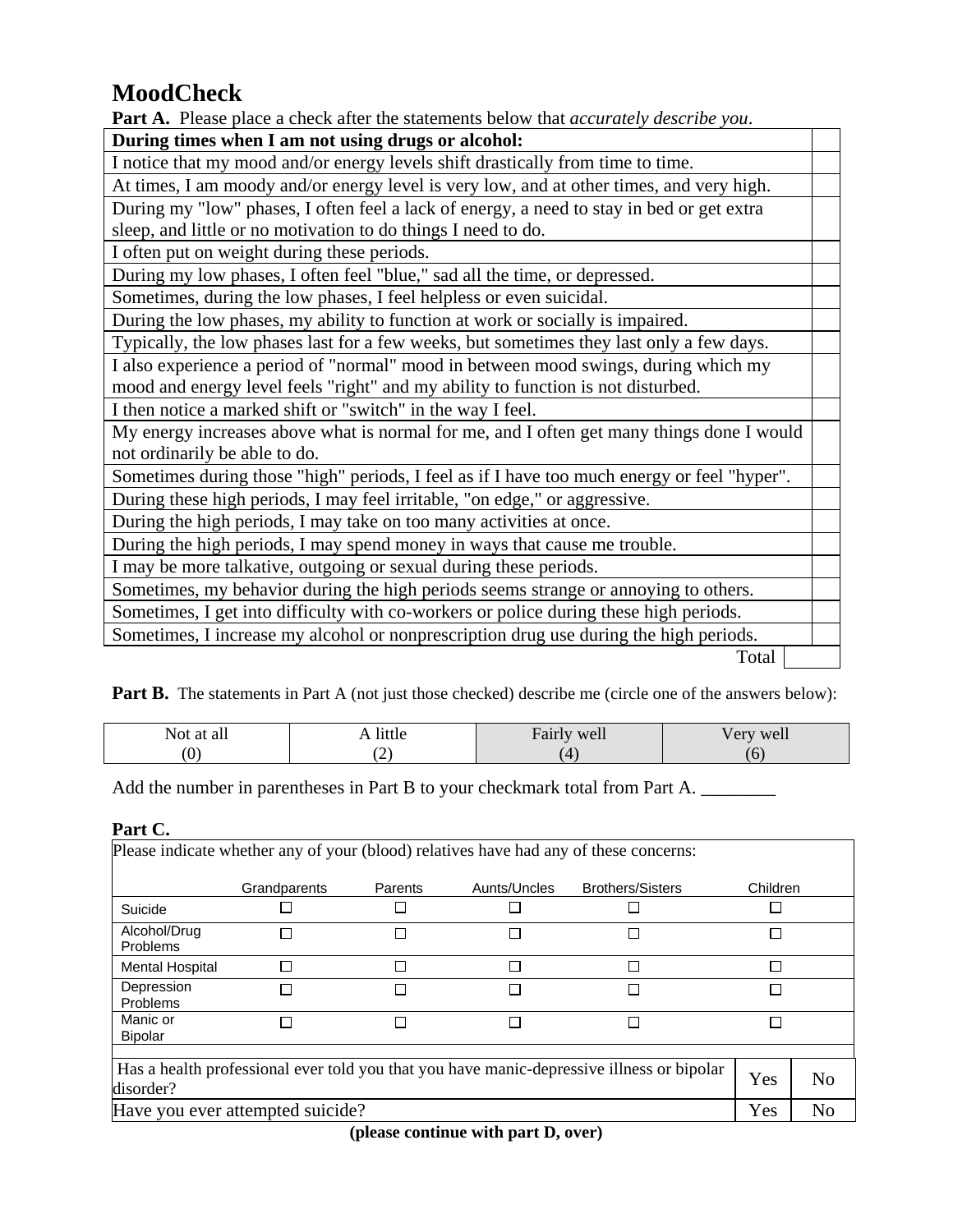## **MoodCheck**

**Part A.** Please place a check after the statements below that *accurately describe you*.

| During times when I am not using drugs or alcohol:                                          |  |  |  |  |  |  |
|---------------------------------------------------------------------------------------------|--|--|--|--|--|--|
| I notice that my mood and/or energy levels shift drastically from time to time.             |  |  |  |  |  |  |
| At times, I am moody and/or energy level is very low, and at other times, and very high.    |  |  |  |  |  |  |
| During my "low" phases, I often feel a lack of energy, a need to stay in bed or get extra   |  |  |  |  |  |  |
| sleep, and little or no motivation to do things I need to do.                               |  |  |  |  |  |  |
| I often put on weight during these periods.                                                 |  |  |  |  |  |  |
| During my low phases, I often feel "blue," sad all the time, or depressed.                  |  |  |  |  |  |  |
| Sometimes, during the low phases, I feel helpless or even suicidal.                         |  |  |  |  |  |  |
| During the low phases, my ability to function at work or socially is impaired.              |  |  |  |  |  |  |
| Typically, the low phases last for a few weeks, but sometimes they last only a few days.    |  |  |  |  |  |  |
| I also experience a period of "normal" mood in between mood swings, during which my         |  |  |  |  |  |  |
| mood and energy level feels "right" and my ability to function is not disturbed.            |  |  |  |  |  |  |
| I then notice a marked shift or "switch" in the way I feel.                                 |  |  |  |  |  |  |
| My energy increases above what is normal for me, and I often get many things done I would   |  |  |  |  |  |  |
| not ordinarily be able to do.                                                               |  |  |  |  |  |  |
| Sometimes during those "high" periods, I feel as if I have too much energy or feel "hyper". |  |  |  |  |  |  |
| During these high periods, I may feel irritable, "on edge," or aggressive.                  |  |  |  |  |  |  |
| During the high periods, I may take on too many activities at once.                         |  |  |  |  |  |  |
| During the high periods, I may spend money in ways that cause me trouble.                   |  |  |  |  |  |  |
| I may be more talkative, outgoing or sexual during these periods.                           |  |  |  |  |  |  |
| Sometimes, my behavior during the high periods seems strange or annoying to others.         |  |  |  |  |  |  |
| Sometimes, I get into difficulty with co-workers or police during these high periods.       |  |  |  |  |  |  |
| Sometimes, I increase my alcohol or nonprescription drug use during the high periods.       |  |  |  |  |  |  |
| Total                                                                                       |  |  |  |  |  |  |

Part B. The statements in Part A (not just those checked) describe me (circle one of the answers below):

| ot at all         | A little | $\cdot$ $\cdot$<br>−<br>well<br>ган | ery well |
|-------------------|----------|-------------------------------------|----------|
| $\sim$<br>$\cdot$ | ╰        |                                     |          |

Add the number in parentheses in Part B to your checkmark total from Part A.

**Part C.** 

| Please indicate whether any of your (blood) relatives have had any of these concerns:                  |              |         |              |                         |          |                |  |  |
|--------------------------------------------------------------------------------------------------------|--------------|---------|--------------|-------------------------|----------|----------------|--|--|
|                                                                                                        | Grandparents | Parents | Aunts/Uncles | <b>Brothers/Sisters</b> | Children |                |  |  |
| Suicide                                                                                                |              |         | П            |                         | $\Box$   |                |  |  |
| Alcohol/Drug<br><b>Problems</b>                                                                        | П            | П       | □            | П                       | П        |                |  |  |
| Mental Hospital                                                                                        | ┍            |         | П            | П                       | П        |                |  |  |
| Depression<br>Problems                                                                                 | Г            |         | П            |                         | □        |                |  |  |
| Manic or<br><b>Bipolar</b>                                                                             | ┍            | $\Box$  | П            | П                       | П        |                |  |  |
| Has a health professional ever told you that you have manic-depressive illness or bipolar<br>disorder? |              |         |              |                         |          | N <sub>o</sub> |  |  |
| Have you ever attempted suicide?                                                                       |              |         |              |                         | Yes      | N <sub>o</sub> |  |  |

**(please continue with part D, over)**